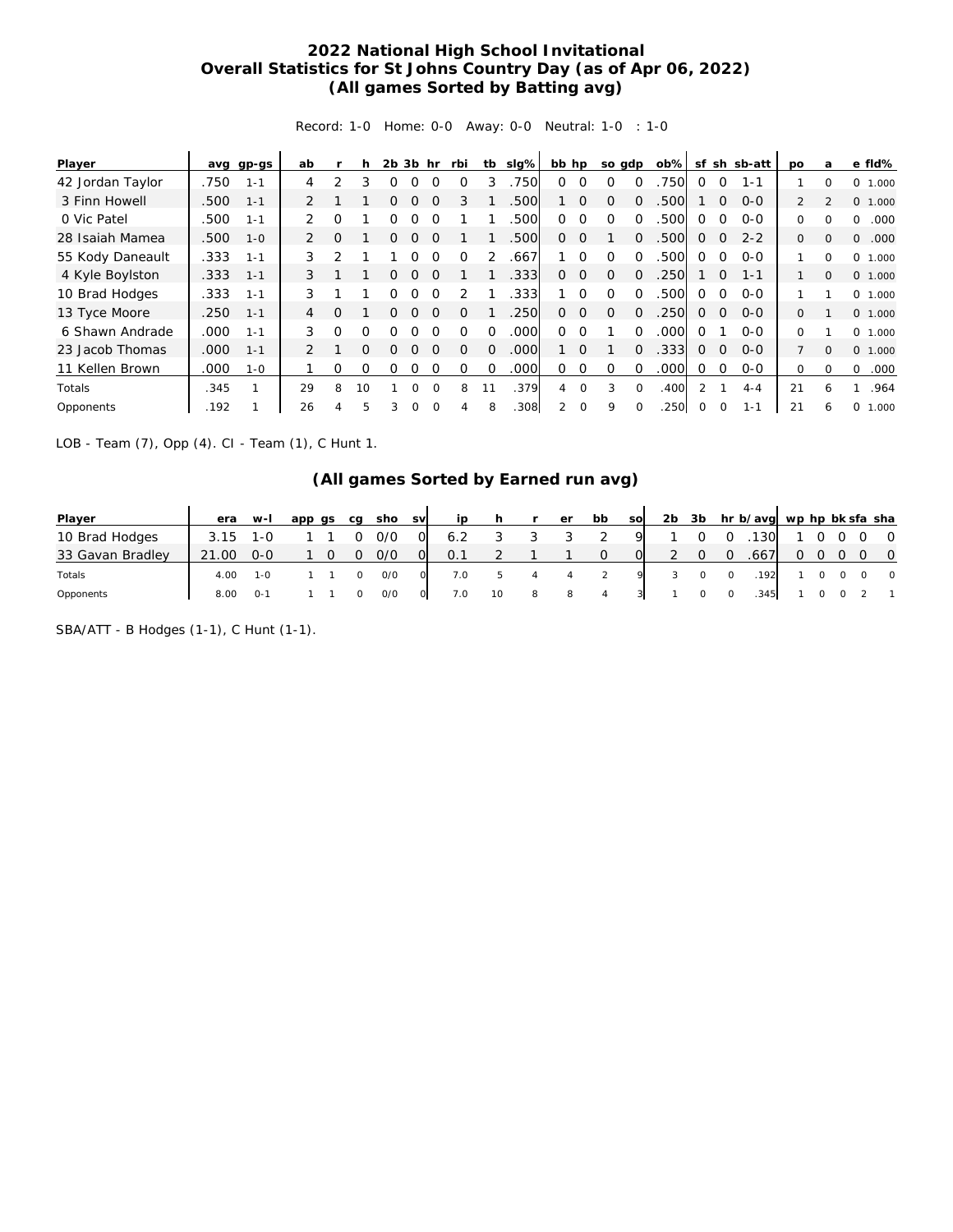## **2022 National High School Invitational Overall Statistics for St Johns Country Day (as of Apr 06, 2022) (All games Sorted by Batting avg)**

Record: 1-0 Home: 0-0 Away: 0-0 Neutral: 1-0 : 1-0

| Player           |      | avg gp-gs | ab             |          | h        | 2 <sub>b</sub> | 3b hr    |          | rbi      | tb            | slg% | bb hp    |          | so gdp   |          | $ob\%$ | sf            |          | sh sb-att | <b>DO</b>      | a              | e fld%            |
|------------------|------|-----------|----------------|----------|----------|----------------|----------|----------|----------|---------------|------|----------|----------|----------|----------|--------|---------------|----------|-----------|----------------|----------------|-------------------|
| 42 Jordan Taylor | .750 | $1 - 1$   | 4              | っ        | 3        |                |          |          |          |               | 750  | 0        | $\Omega$ | $\Omega$ |          | 750    | $\Omega$      | $\Omega$ | $1 - 1$   |                |                | $\Omega$<br>1.000 |
| 3 Finn Howell    | .500 | $1 - 1$   | 2              |          |          | Ω              |          | $\Omega$ | 3        |               | .500 |          | $\Omega$ | $\Omega$ | $\Omega$ | 500    |               | $\Omega$ | $O-O$     | $\overline{2}$ | $\mathfrak{D}$ | 0 1.000           |
| 0 Vic Patel      | .500 | $1 - 1$   |                | O        |          |                |          |          |          |               | .500 | Ω.       | $\Omega$ | $\Omega$ |          | 500    | Ω             | 0        | $O-O$     | 0              | 0              | .000<br>$\Omega$  |
| 28 Isaiah Mamea  | .500 | $1 - 0$   | 2              | $\Omega$ |          | 0              | ∩        | $\Omega$ |          |               | .500 | $\Omega$ | $\Omega$ |          | $\Omega$ | 500    | $\Omega$      | $\Omega$ | $2 - 2$   | $\Omega$       | $\Omega$       | .000<br>$\Omega$  |
| 55 Kody Daneault | .333 | $1 - 1$   | 3              |          |          |                |          | O        | ∩        | $\mathcal{P}$ | .667 |          | $\Omega$ | $\Omega$ | $\Omega$ | 500    | Ω             | $\Omega$ | $0 - 0$   |                | $\Omega$       | $\Omega$<br>1.000 |
| 4 Kyle Boylston  | .333 | $1 - 1$   | 3              |          |          | 0              | ∩        | $\Omega$ |          |               | .333 | $\Omega$ | $\Omega$ | $\Omega$ | $\Omega$ | .250   |               | $\Omega$ | $1 - 1$   |                | $\Omega$       | 0 1.000           |
| 10 Brad Hodges   | .333 | $1 - 1$   | 3              |          |          | ∩              |          | ∩        |          |               | .333 |          | $\Omega$ | $\Omega$ | $\Omega$ | 500    | $\Omega$      | $\Omega$ | $0 - 0$   |                |                | 0, 1,000          |
| 13 Tyce Moore    | .250 | $1 - 1$   | 4              | $\Omega$ |          | ∩              |          | $\Omega$ |          |               | .250 | 0        | $\Omega$ | $\Omega$ | $\Omega$ | 250    | $\Omega$      | $\Omega$ | $O-O$     | $\Omega$       |                | 0 1.000           |
| 6 Shawn Andrade  | .000 | $1 - 1$   | 3              | O        | $\Omega$ | ∩              |          |          |          | $\Omega$      | .000 | 0        | $\Omega$ |          | $\Omega$ | .000   | $\Omega$      |          | $0 - 0$   | 0              |                | 0 1.000           |
| 23 Jacob Thomas  | .000 | $1 - 1$   | $\overline{2}$ |          | $\Omega$ | 0              |          | $\Omega$ | $\Omega$ | $\Omega$      | .000 |          | $\Omega$ |          | $\Omega$ | .333   | $\Omega$      | 0        | $0 - 0$   | $\overline{7}$ | $\mathbf{0}$   | 0 1.000           |
| 11 Kellen Brown  | .000 | $1 - 0$   |                | Ω        | O        | Ω              |          |          | O        | 0             | .000 | ∩        | 0        | Ω        | 0        | .000   | $\Omega$      | 0        | $0 - 0$   | 0              | 0              | .000<br>0         |
| Totals           | .345 | 1         | 29             | 8        | 10       |                | O        | $\Omega$ | 8        | 11            | .379 | 4        | $\Omega$ | 3        | $\Omega$ | .400   | $\mathcal{L}$ |          | $4 - 4$   | 21             | 6              | .964              |
| Opponents        | .192 |           | 26             | 4        | 5        | 3              | $\Omega$ | $\Omega$ | 4        | 8             | .308 |          | $\Omega$ | 9        |          | 250    | $\circ$       | 0        | $1 - 1$   | 21             | 6              | 0<br>000.1<br>л   |

LOB - Team (7), Opp (4). CI - Team (1), C Hunt 1.

## **(All games Sorted by Earned run avg)**

| Player           | era  | $W-I$        | app qs | ca | sho | <b>SV</b> | ip  |    |   | er | bb | SOI | 2 <sub>b</sub> | 3b |   | hr b/avg wp hp bk sfa sha |          |     |                |
|------------------|------|--------------|--------|----|-----|-----------|-----|----|---|----|----|-----|----------------|----|---|---------------------------|----------|-----|----------------|
| 10 Brad Hodges   | 3.15 | 1-0          |        |    | 0/0 |           | 6.2 |    |   |    |    | O   |                |    |   | 130                       |          |     | $\overline{0}$ |
| 33 Gavan Bradley | .00  | $O-O$        |        |    | 0/0 |           | 0.1 |    |   |    |    |     |                |    |   | .667                      | $\Omega$ | - 0 | $\overline{0}$ |
| Totals           | 4.00 | $1 - \Omega$ |        |    | O/O |           | 7.0 |    |   |    |    |     |                |    |   | 192                       |          |     | $\overline{0}$ |
| Opponents        | 8.00 | $0 - 1$      |        |    | O/O |           | 7.0 | 10 | 8 | 8  |    |     |                |    | 0 | .345                      |          |     |                |

SBA/ATT - B Hodges (1-1), C Hunt (1-1).